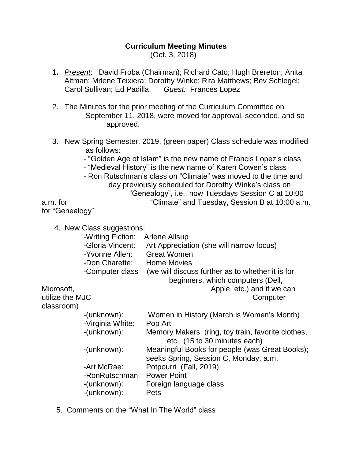## **Curriculum Meeting Minutes** (Oct. 3, 2018)

- **1.** *Present*: David Froba (Chairman); Richard Cato; Hugh Brereton; Anita Altman; Mrlene Teixiera; Dorothy Winke; Rita Matthews; Bev Schlegel; Carol Sullivan; Ed Padilla. *Guest:* Frances Lopez
- 2. The Minutes for the prior meeting of the Curriculum Committee on September 11, 2018, were moved for approval, seconded, and so approved.
- 3. New Spring Semester, 2019, (green paper) Class schedule was modified as follows:
	- "Golden Age of Islam" is the new name of Francis Lopez's class
	- "Medieval History" is the new name of Karen Cowen's class
- Ron Rutschman's class on "Climate" was moved to the time and day previously scheduled for Dorothy Winke's class on "Genealogy", i.e., now Tuesdays Session C at 10:00 a.m. for "Climate" and Tuesday, Session B at 10:00 a.m.

for "Genealogy"

4. New Class suggestions:

|                 | -Writing Fiction: | Arlene Allsup                                     |
|-----------------|-------------------|---------------------------------------------------|
|                 | -Gloria Vincent:  | Art Appreciation (she will narrow focus)          |
|                 | -Yvonne Allen:    | <b>Great Women</b>                                |
|                 | -Don Charette:    | <b>Home Movies</b>                                |
|                 | -Computer class   | (we will discuss further as to whether it is for  |
|                 |                   | beginners, which computers (Dell,                 |
| Microsoft,      |                   | Apple, etc.) and if we can                        |
| utilize the MJC |                   | Computer                                          |
| classroom)      |                   |                                                   |
|                 | -(unknown):       | Women in History (March is Women's Month)         |
|                 | -Virginia White:  | Pop Art                                           |
|                 | -(unknown):       | Memory Makers (ring, toy train, favorite clothes, |
|                 |                   | etc. (15 to 30 minutes each)                      |

- -(unknown): Meaningful Books for people (was Great Books);
- seeks Spring, Session C, Monday, a.m.
	- -Art McRae: Potpourri (Fall, 2019)
	- -RonRutschman: Power Point
- -(unknown): Foreign language class
- -(unknown): Pets
- 5. Comments on the "What In The World" class